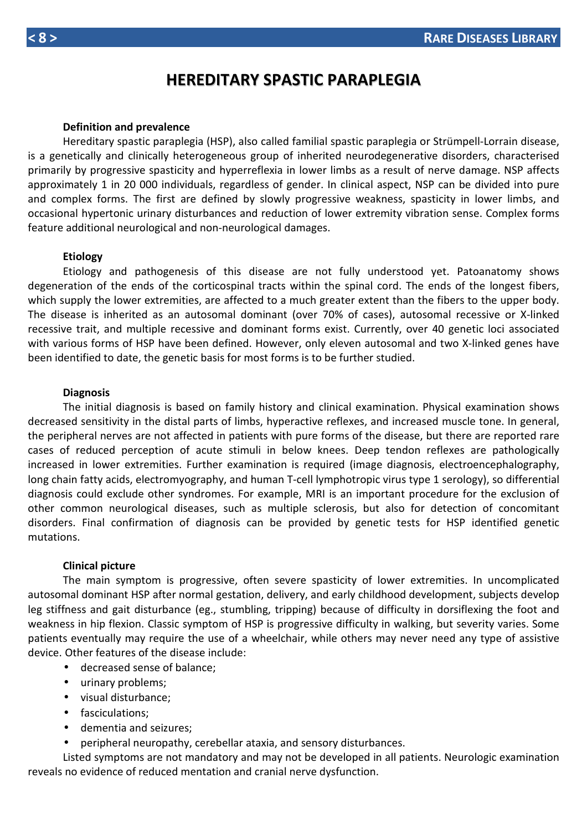## **Definition and prevalence**

Hereditary spastic paraplegia (HSP), also called familial spastic paraplegia or Strümpell-Lorrain disease, is a genetically and clinically heterogeneous group of inherited neurodegenerative disorders, characterised primarily by progressive spasticity and hyperreflexia in lower limbs as a result of nerve damage. NSP affects approximately 1 in 20 000 individuals, regardless of gender. In clinical aspect, NSP can be divided into pure and complex forms. The first are defined by slowly progressive weakness, spasticity in lower limbs, and occasional hypertonic urinary disturbances and reduction of lower extremity vibration sense. Complex forms feature additional neurological and non-neurological damages.

## **Etiology**

Etiology and pathogenesis of this disease are not fully understood yet. Patoanatomy shows degeneration of the ends of the corticospinal tracts within the spinal cord. The ends of the longest fibers, which supply the lower extremities, are affected to a much greater extent than the fibers to the upper body. The disease is inherited as an autosomal dominant (over 70% of cases), autosomal recessive or X-linked recessive trait, and multiple recessive and dominant forms exist. Currently, over 40 genetic loci associated with various forms of HSP have been defined. However, only eleven autosomal and two X-linked genes have been identified to date, the genetic basis for most forms is to be further studied.

## **Diagnosis**

The initial diagnosis is based on family history and clinical examination. Physical examination shows decreased sensitivity in the distal parts of limbs, hyperactive reflexes, and increased muscle tone. In general, the peripheral nerves are not affected in patients with pure forms of the disease, but there are reported rare cases of reduced perception of acute stimuli in below knees. Deep tendon reflexes are pathologically increased in lower extremities. Further examination is required (image diagnosis, electroencephalography, long chain fatty acids, electromyography, and human T-cell lymphotropic virus type 1 serology), so differential diagnosis could exclude other syndromes. For example, MRI is an important procedure for the exclusion of other common neurological diseases, such as multiple sclerosis, but also for detection of concomitant disorders. Final confirmation of diagnosis can be provided by genetic tests for HSP identified genetic mutations.

### **Clinical picture**

The main symptom is progressive, often severe spasticity of lower extremities. In uncomplicated autosomal dominant HSP after normal gestation, delivery, and early childhood development, subjects develop leg stiffness and gait disturbance (eg., stumbling, tripping) because of difficulty in dorsiflexing the foot and weakness in hip flexion. Classic symptom of HSP is progressive difficulty in walking, but severity varies. Some patients eventually may require the use of a wheelchair, while others may never need any type of assistive device. Other features of the disease include:

- decreased sense of balance;
- urinary problems;
- visual disturbance;
- fasciculations;
- dementia and seizures;
- peripheral neuropathy, cerebellar ataxia, and sensory disturbances.

Listed symptoms are not mandatory and may not be developed in all patients. Neurologic examination reveals no evidence of reduced mentation and cranial nerve dysfunction.